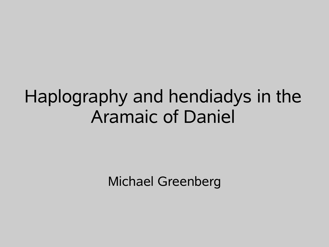## Haplography and hendiadys in the Aramaic of Daniel

Michael Greenberg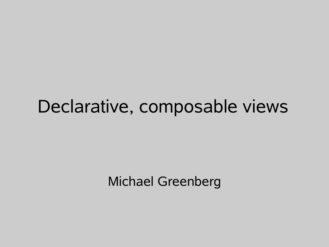#### Declarative, composable views

Michael Greenberg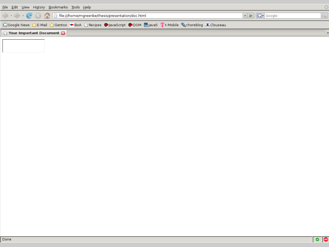| File Edit View History Bookmarks Tools Help                                                                             |                                                         |  |
|-------------------------------------------------------------------------------------------------------------------------|---------------------------------------------------------|--|
|                                                                                                                         | $\triangledown$ $\triangleright$ $\big \bigodot$ Google |  |
| G Google News C E-Mail C Gentoo ◆ BoA C Recipes ◆ JavaScript ◆ DOM <sub>9m</sub> Java5 T t-Mobile Schoreblog X Clouseau |                                                         |  |
| <b>P</b> Your Important Document                                                                                        |                                                         |  |
|                                                                                                                         |                                                         |  |

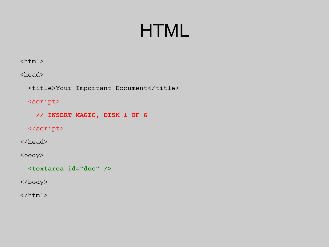# **HTML**

 $\hbox{\tt }$ 

<head>

<title>Your Important Document</title>

#### <script>

 **// INSERT MAGIC, DISK 1 OF 6**

 $\langle$ /script $\rangle$ 

</head>

<body>

 **<textarea id="doc" />**

</body>

 $\langle$ /html $\rangle$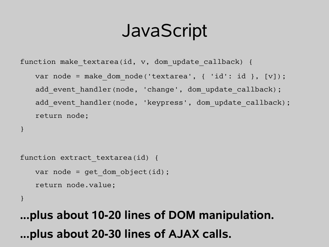# **JavaScript**

function make textarea(id, v, dom update callback) { var node = make dom node('textarea', { 'id': id }, [v]); add event handler(node, 'change', dom update callback); add event handler(node, 'keypress', dom update callback); return node;

```
}
```

```
function extract textarea(id) {
   var node = qet dom object(id);
   return node.value;
```
}

**...plus about 10-20 lines of DOM manipulation. ...plus about 20-30 lines of AJAX calls.**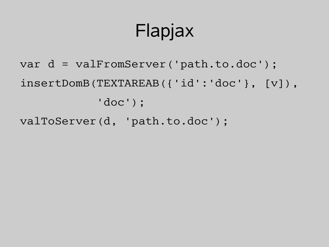# Flapjax

- var d = valFromServer('path.to.doc'); insertDomB(TEXTAREAB({'id':'doc'}, [v]), 'doc');
- valToServer(d, 'path.to.doc');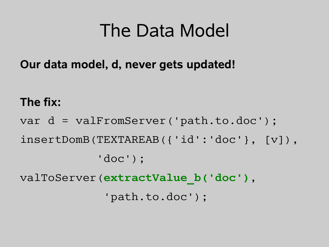# The Data Model

**Our data model, d, never gets updated!**

#### **The fix:**

var d = valFromServer('path.to.doc'); insertDomB(TEXTAREAB({'id':'doc'}, [v]), 'doc'); valToServer(**extractValue\_b('doc')**, 'path.to.doc');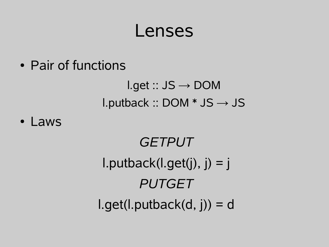#### Lenses

• Pair of functions

 $l.get :: JS \rightarrow DOM$ l.putback :: DOM  $*$  JS  $\rightarrow$  JS

• Laws

*GETPUT*  $l.putback(l.get(j), j) = j$ *PUTGET*  $l.get(l.putback(d, j)) = d$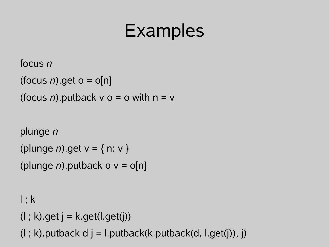# Examples

```
focus n
```

```
(focus n).get o = o[n]
```

```
(focus n).putback v o = o with n = v
```

```
plunge n
```

```
(plunge n).get v = { n: v }
```

```
(plunge n).putback o v = o[n]
```
 $l$ ;  $k$ 

```
(l ; k).get j = k.get(l . get(j))
```
 $(l ; k)$ .putback d j = l.putback(k.putback(d, l.get(j)), j)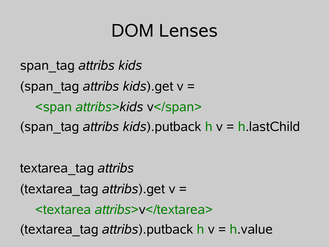## DOM Lenses

span\_tag *attribs kids* (span\_tag *attribs kids*).get v = <span *attribs*>*kids* v</span> (span\_tag *attribs kids*).putback h v = h.lastChild

textarea\_tag *attribs*

(textarea\_tag *attribs*).get v =

<textarea *attribs*>v</textarea>

(textarea\_tag *attribs*).putback h v = h.value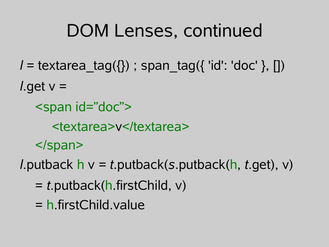# DOM Lenses, continued

*l* = textarea\_tag({}) ; span\_tag({ 'id': 'doc' }, [])

*l*.get v =

<span id="doc">

<textarea>v</textarea>

</span>

*l*.putback h v *= t*.putback(*s*.putback(h, *t*.get), v)

- = *t*.putback(h.firstChild, v)
- = h.firstChild.value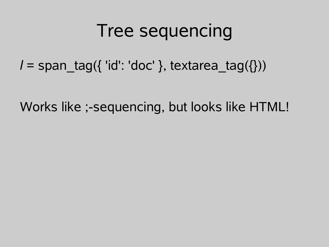## Tree sequencing

*l* = span\_tag({ 'id': 'doc' }, textarea\_tag({}))

Works like ;-sequencing, but looks like HTML!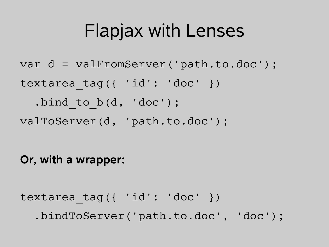# Flapjax with Lenses

```
var d = valFromServer('path.to.doc');
textarea tag({ 'id': 'doc' })
  .bind to b(d, 'doc');valToServer(d, 'path.to.doc');
```
#### **Or, with a wrapper:**

```
textarea tag({ 'id': 'doc' })
   .bindToServer('path.to.doc', 'doc');
```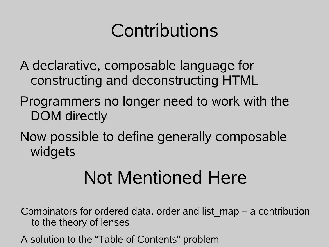# Contributions

- A declarative, composable language for constructing and deconstructing HTML
- Programmers no longer need to work with the DOM directly
- Now possible to define generally composable widgets

# Not Mentioned Here

- Combinators for ordered data, order and list\_map a contribution to the theory of lenses
- A solution to the "Table of Contents" problem